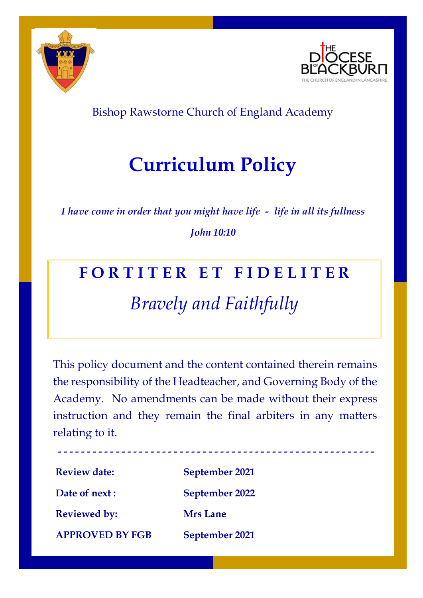



### Bishop Rawstorne Church of England Academy

# **Curriculum Policy**

*I have come in order that you might have life - life in all its fullness*

### *John 10:10*

## **F O R T I T E R E T F I D E L I T E R**

## *Bravely and Faithfully*

This policy document and the content contained therein remains the responsibility of the Headteacher, and Governing Body of the Academy. No amendments can be made without their express instruction and they remain the final arbiters in any matters relating to it.

**Review date: September 2021 Date of next : September 2022 Reviewed by: Mrs Lane APPROVED BY FGB September 2021**

**- - - - - - - - - - - - - - - - - - - - - - - - - - - - - - - - - - - - - - - - - - - - - - - - - - - - - - -**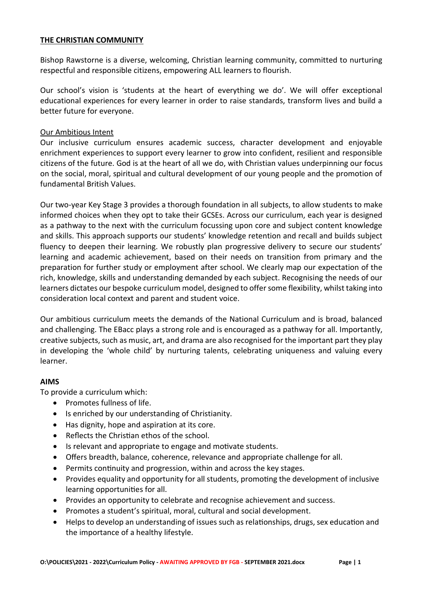#### **THE CHRISTIAN COMMUNITY**

Bishop Rawstorne is a diverse, welcoming, Christian learning community, committed to nurturing respectful and responsible citizens, empowering ALL learners to flourish.

Our school's vision is 'students at the heart of everything we do'. We will offer exceptional educational experiences for every learner in order to raise standards, transform lives and build a better future for everyone.

#### Our Ambitious Intent

Our inclusive curriculum ensures academic success, character development and enjoyable enrichment experiences to support every learner to grow into confident, resilient and responsible citizens of the future. God is at the heart of all we do, with Christian values underpinning our focus on the social, moral, spiritual and cultural development of our young people and the promotion of fundamental British Values.

Our two-year Key Stage 3 provides a thorough foundation in all subjects, to allow students to make informed choices when they opt to take their GCSEs. Across our curriculum, each year is designed as a pathway to the next with the curriculum focussing upon core and subject content knowledge and skills. This approach supports our students' knowledge retention and recall and builds subject fluency to deepen their learning. We robustly plan progressive delivery to secure our students' learning and academic achievement, based on their needs on transition from primary and the preparation for further study or employment after school. We clearly map our expectation of the rich, knowledge, skills and understanding demanded by each subject. Recognising the needs of our learners dictates our bespoke curriculum model, designed to offer some flexibility, whilst taking into consideration local context and parent and student voice.

Our ambitious curriculum meets the demands of the National Curriculum and is broad, balanced and challenging. The EBacc plays a strong role and is encouraged as a pathway for all. Importantly, creative subjects, such as music, art, and drama are also recognised for the important part they play in developing the 'whole child' by nurturing talents, celebrating uniqueness and valuing every learner.

#### **AIMS**

To provide a curriculum which:

- Promotes fullness of life.
- Is enriched by our understanding of Christianity.
- Has dignity, hope and aspiration at its core.
- Reflects the Christian ethos of the school.
- Is relevant and appropriate to engage and motivate students.
- Offers breadth, balance, coherence, relevance and appropriate challenge for all.
- Permits continuity and progression, within and across the key stages.
- Provides equality and opportunity for all students, promoting the development of inclusive learning opportunities for all.
- Provides an opportunity to celebrate and recognise achievement and success.
- Promotes a student's spiritual, moral, cultural and social development.
- Helps to develop an understanding of issues such as relationships, drugs, sex education and the importance of a healthy lifestyle.